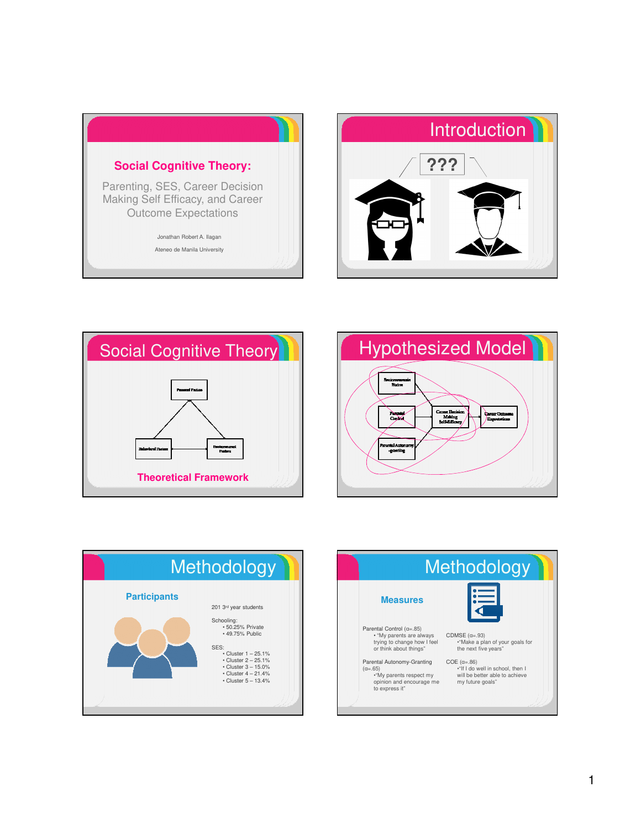









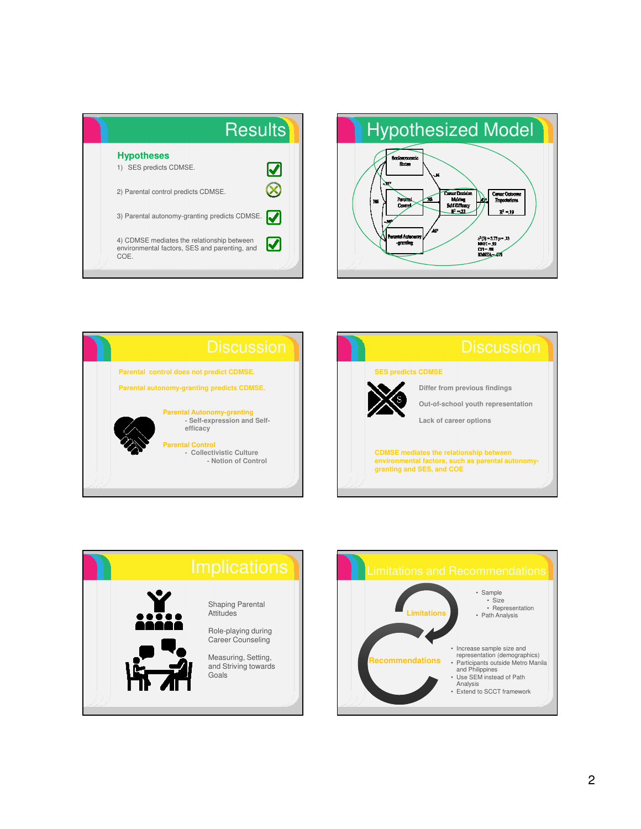| <b>Results</b>                                                                                      |               |
|-----------------------------------------------------------------------------------------------------|---------------|
| <b>Hypotheses</b><br>1) SES predicts CDMSE.                                                         | Ø             |
| 2) Parental control predicts CDMSE.                                                                 |               |
| 3) Parental autonomy-granting predicts CDMSE.                                                       | M             |
| 4) CDMSE mediates the relationship between<br>environmental factors, SES and parenting, and<br>COE. | $\bm{\omega}$ |